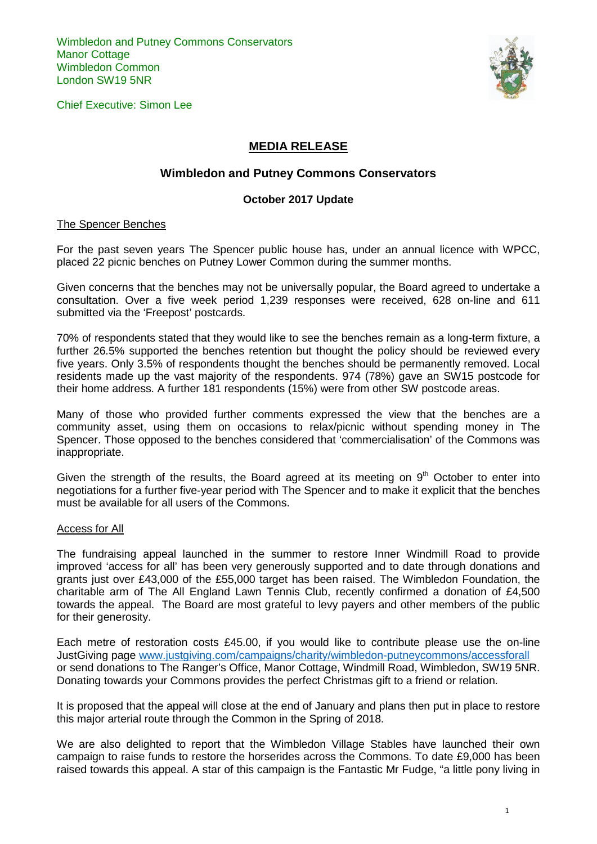

Chief Executive: Simon Lee

# **MEDIA RELEASE**

## **Wimbledon and Putney Commons Conservators**

### **October 2017 Update**

#### The Spencer Benches

For the past seven years The Spencer public house has, under an annual licence with WPCC, placed 22 picnic benches on Putney Lower Common during the summer months.

Given concerns that the benches may not be universally popular, the Board agreed to undertake a consultation. Over a five week period 1,239 responses were received, 628 on-line and 611 submitted via the 'Freepost' postcards.

70% of respondents stated that they would like to see the benches remain as a long-term fixture, a further 26.5% supported the benches retention but thought the policy should be reviewed every five years. Only 3.5% of respondents thought the benches should be permanently removed. Local residents made up the vast majority of the respondents. 974 (78%) gave an SW15 postcode for their home address. A further 181 respondents (15%) were from other SW postcode areas.

Many of those who provided further comments expressed the view that the benches are a community asset, using them on occasions to relax/picnic without spending money in The Spencer. Those opposed to the benches considered that 'commercialisation' of the Commons was inappropriate.

Given the strength of the results, the Board agreed at its meeting on  $9<sup>th</sup>$  October to enter into negotiations for a further five-year period with The Spencer and to make it explicit that the benches must be available for all users of the Commons.

#### Access for All

The fundraising appeal launched in the summer to restore Inner Windmill Road to provide improved 'access for all' has been very generously supported and to date through donations and grants just over £43,000 of the £55,000 target has been raised. The Wimbledon Foundation, the charitable arm of The All England Lawn Tennis Club, recently confirmed a donation of £4,500 towards the appeal. The Board are most grateful to levy payers and other members of the public for their generosity.

Each metre of restoration costs £45.00, if you would like to contribute please use the on-line JustGiving page [www.justgiving.com/campaigns/charity/wimbledon-putneycommons/accessforall](http://www.justgiving.com/campaigns/charity/wimbledon-putneycommons/accessforall) or send donations to The Ranger's Office, Manor Cottage, Windmill Road, Wimbledon, SW19 5NR. Donating towards your Commons provides the perfect Christmas gift to a friend or relation.

It is proposed that the appeal will close at the end of January and plans then put in place to restore this major arterial route through the Common in the Spring of 2018.

We are also delighted to report that the Wimbledon Village Stables have launched their own campaign to raise funds to restore the horserides across the Commons. To date £9,000 has been raised towards this appeal. A star of this campaign is the Fantastic Mr Fudge, "a little pony living in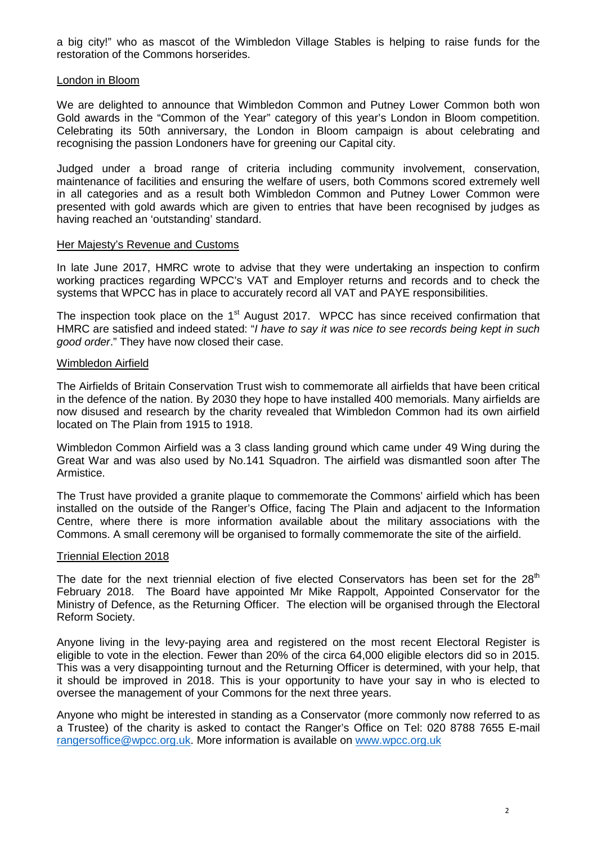a big city!" who as mascot of the Wimbledon Village Stables is helping to raise funds for the restoration of the Commons horserides.

### London in Bloom

We are delighted to announce that Wimbledon Common and Putney Lower Common both won Gold awards in the "Common of the Year" category of this year's London in Bloom competition. Celebrating its 50th anniversary, the London in Bloom campaign is about celebrating and recognising the passion Londoners have for greening our Capital city.

Judged under a broad range of criteria including community involvement, conservation, maintenance of facilities and ensuring the welfare of users, both Commons scored extremely well in all categories and as a result both Wimbledon Common and Putney Lower Common were presented with gold awards which are given to entries that have been recognised by judges as having reached an 'outstanding' standard.

#### Her Majesty's Revenue and Customs

In late June 2017, HMRC wrote to advise that they were undertaking an inspection to confirm working practices regarding WPCC's VAT and Employer returns and records and to check the systems that WPCC has in place to accurately record all VAT and PAYE responsibilities.

The inspection took place on the  $1<sup>st</sup>$  August 2017. WPCC has since received confirmation that HMRC are satisfied and indeed stated: "*I have to say it was nice to see records being kept in such good order*." They have now closed their case.

### Wimbledon Airfield

The Airfields of Britain Conservation Trust wish to commemorate all airfields that have been critical in the defence of the nation. By 2030 they hope to have installed 400 memorials. Many airfields are now disused and research by the charity revealed that Wimbledon Common had its own airfield located on The Plain from 1915 to 1918.

Wimbledon Common Airfield was a 3 class landing ground which came under 49 Wing during the Great War and was also used by No.141 Squadron. The airfield was dismantled soon after The Armistice.

The Trust have provided a granite plaque to commemorate the Commons' airfield which has been installed on the outside of the Ranger's Office, facing The Plain and adjacent to the Information Centre, where there is more information available about the military associations with the Commons. A small ceremony will be organised to formally commemorate the site of the airfield.

#### Triennial Election 2018

The date for the next triennial election of five elected Conservators has been set for the  $28<sup>th</sup>$ February 2018. The Board have appointed Mr Mike Rappolt, Appointed Conservator for the Ministry of Defence, as the Returning Officer. The election will be organised through the Electoral Reform Society.

Anyone living in the levy-paying area and registered on the most recent Electoral Register is eligible to vote in the election. Fewer than 20% of the circa 64,000 eligible electors did so in 2015. This was a very disappointing turnout and the Returning Officer is determined, with your help, that it should be improved in 2018. This is your opportunity to have your say in who is elected to oversee the management of your Commons for the next three years.

Anyone who might be interested in standing as a Conservator (more commonly now referred to as a Trustee) of the charity is asked to contact the Ranger's Office on Tel: 020 8788 7655 E-mail [rangersoffice@wpcc.org.uk.](mailto:rangersoffice@wpcc.org.uk) More information is available on [www.wpcc.org.uk](http://www.wpcc.org.uk/)